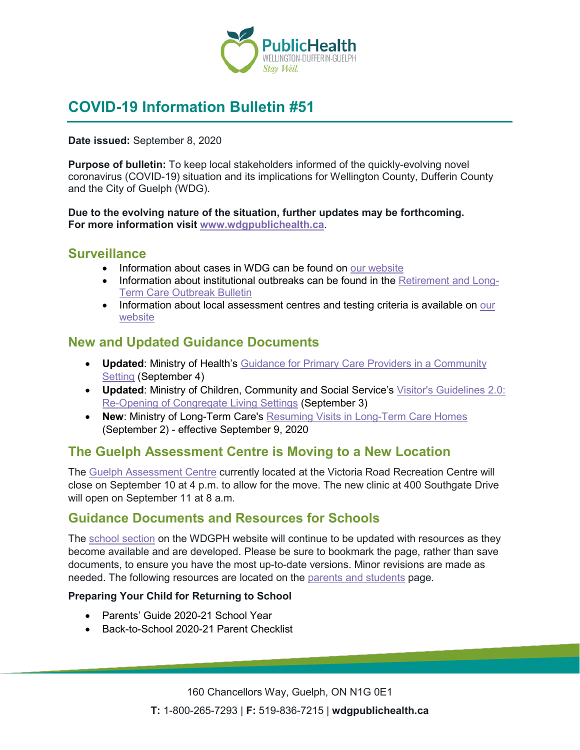

# **COVID-19 Information Bulletin #51**

**Date issued:** September 8, 2020

**Purpose of bulletin:** To keep local stakeholders informed of the quickly-evolving novel coronavirus (COVID-19) situation and its implications for Wellington County, Dufferin County and the City of Guelph (WDG).

**Due to the evolving nature of the situation, further updates may be forthcoming. For more information visit [www.wdgpublichealth.ca](http://www.wdgpublichealth.ca/)**.

#### **Surveillance**

- Information about cases in WDG can be found on [our website](https://wdgpublichealth.ca/your-health/covid-19-information-public/status-cases-wdg)
- Information about institutional outbreaks can be found in the [Retirement and Long-](https://wdgpublichealth.ca/node/1542)[Term Care Outbreak Bulletin](https://wdgpublichealth.ca/node/1542)
- Information about local assessment centres and testing criteria is available on our [website](https://www.wdgpublichealth.ca/your-health/covid-19-information-public/assessment-centres-wdg)

### **New and Updated Guidance Documents**

- **Updated**: Ministry of Health's [Guidance for Primary Care Providers in a Community](http://www.health.gov.on.ca/en/pro/programs/publichealth/coronavirus/docs/2019_primary_care_guidance.pdf)  [Setting](http://www.health.gov.on.ca/en/pro/programs/publichealth/coronavirus/docs/2019_primary_care_guidance.pdf) (September 4)
- **Updated**: Ministry of Children, Community and Social Service's [Visitor's Guidelines 2.0:](http://www.children.gov.on.ca/docs/MCCSS_Visitor_Guidelines_Congregate_Living-EN.pdf)  [Re-Opening of Congregate Living Settings](http://www.children.gov.on.ca/docs/MCCSS_Visitor_Guidelines_Congregate_Living-EN.pdf) (September 3)
- **New: Ministry of Long-Term Care's [Resuming Visits in Long-Term Care Homes](http://health.gov.on.ca/en/pro/programs/ltc/docs/covid-19/mltc_visitor_policy_20200909_en.pdf)** (September 2) - effective September 9, 2020

### **The Guelph Assessment Centre is Moving to a New Location**

The [Guelph Assessment Centre](https://www.wdgpublichealth.ca/your-health/covid-19-information-public/assessment-centres-wdg/guelph-covid-19-assessment-centre) currently located at the Victoria Road Recreation Centre will close on September 10 at 4 p.m. to allow for the move. The new clinic at 400 Southgate Drive will open on September 11 at 8 a.m.

### **Guidance Documents and Resources for Schools**

The [school section](https://www.wdgpublichealth.ca/your-health/covid-19-information-schools-parents-and-teachers/schools-and-post-secondary) on the WDGPH website will continue to be updated with resources as they become available and are developed. Please be sure to bookmark the page, rather than save documents, to ensure you have the most up-to-date versions. Minor revisions are made as needed. The following resources are located on the [parents and students](https://www.wdgpublichealth.ca/your-health/covid-19-information-schools-parents-and-teachers/parents-and-students) page.

#### **Preparing Your Child for Returning to School**

- Parents' Guide 2020-21 School Year
- Back-to-School 2020-21 Parent Checklist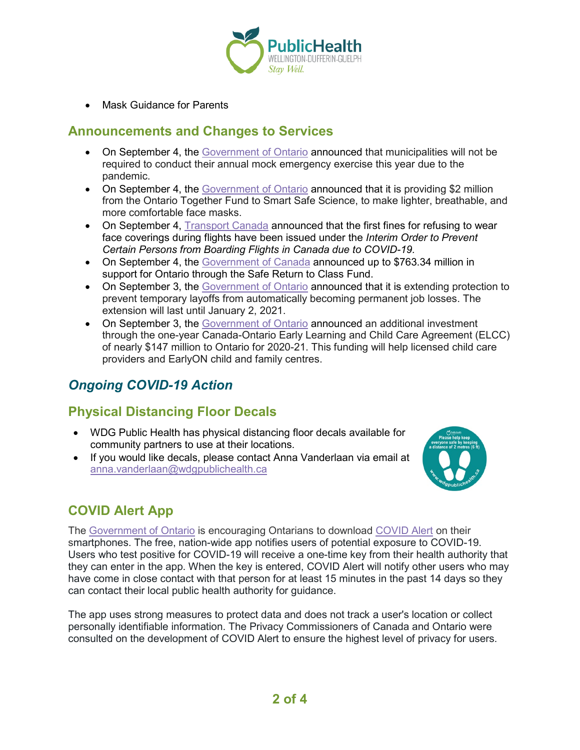

• Mask Guidance for Parents

#### **Announcements and Changes to Services**

- On September 4, the [Government of Ontario](https://news.ontario.ca/en/release/58263/ontario-cancels-mock-emergency-exercises-in-2020) announced that municipalities will not be required to conduct their annual mock emergency exercise this year due to the pandemic.
- On September 4, the [Government of Ontario](https://news.ontario.ca/en/release/58262/province-supports-ontario-made-face-masks-in-the-fight-against-covid-19) announced that it is providing \$2 million from the Ontario Together Fund to Smart Safe Science, to make lighter, breathable, and more comfortable face masks.
- On September 4, [Transport Canada](https://www.canada.ca/en/transport-canada/news/2020/09/transport-canada-fines-two-individuals-for-failing-to-follow-direction-from-the-flight-crew-to-wear-face-coverings-during-flight.html) announced that the first fines for refusing to wear face coverings during flights have been issued under the *Interim Order to Prevent Certain Persons from Boarding Flights in Canada due to COVID-19.*
- On September 4, the [Government of Canada](https://www.canada.ca/en/employment-social-development/news/2020/09/support-for-a-safe-return-to-school.html) announced up to \$763.34 million in support for Ontario through the Safe Return to Class Fund.
- On September 3, the [Government of Ontario](https://news.ontario.ca/en/release/58240/ontario-extends-support-for-employers-and-employees-impacted-by-covid-19) announced that it is extending protection to prevent temporary layoffs from automatically becoming permanent job losses. The extension will last until January 2, 2021.
- On September 3, the [Government of Ontario](https://news.ontario.ca/en/release/58238/governments-extend-child-care-funding-to-support-working-parents) announced an additional investment through the one-year Canada-Ontario Early Learning and Child Care Agreement (ELCC) of nearly \$147 million to Ontario for 2020-21. This funding will help licensed child care providers and EarlyON child and family centres.

# *Ongoing COVID-19 Action*

# **Physical Distancing Floor Decals**

- WDG Public Health has physical distancing floor decals available for community partners to use at their locations.
- If you would like decals, please contact Anna Vanderlaan via email at [anna.vanderlaan@wdgpublichealth.ca](mailto:anna.vanderlaan@wdgpublichealth.ca)



# **COVID Alert App**

The [Government of Ontario](https://news.ontario.ca/opo/en/2020/07/covid-alert-available-for-download-beginning-today.html) is encouraging Ontarians to download [COVID Alert](https://covid-19.ontario.ca/covidalert?_ga=2.68068817.1702415536.1596548534-1123331746.1579028832) on their smartphones. The free, nation-wide app notifies users of potential exposure to COVID-19. Users who test positive for COVID-19 will receive a one-time key from their health authority that they can enter in the app. When the key is entered, COVID Alert will notify other users who may have come in close contact with that person for at least 15 minutes in the past 14 days so they can contact their local public health authority for guidance.

The app uses strong measures to protect data and does not track a user's location or collect personally identifiable information. The Privacy Commissioners of Canada and Ontario were consulted on the development of COVID Alert to ensure the highest level of privacy for users.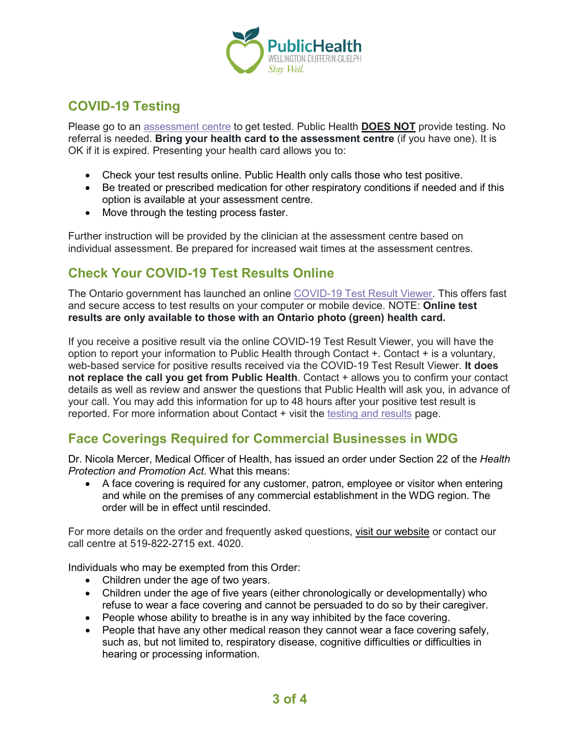

# **COVID-19 Testing**

Please go to an [assessment centre](https://wdgpublichealth.ca/your-health/covid-19-information-public/assessment-centres-wdg) to get tested. Public Health **DOES NOT** provide testing. No referral is needed. **Bring your health card to the assessment centre** (if you have one). It is OK if it is expired. Presenting your health card allows you to:

- Check your test results online. Public Health only calls those who test positive.
- Be treated or prescribed medication for other respiratory conditions if needed and if this option is available at your assessment centre.
- Move through the testing process faster.

Further instruction will be provided by the clinician at the assessment centre based on individual assessment. Be prepared for increased wait times at the assessment centres.

# **Check Your COVID-19 Test Results Online**

The Ontario government has launched an online [COVID-19 Test Result Viewer.](https://covid19results.ehealthontario.ca:4443/agree) This offers fast and secure access to test results on your computer or mobile device. NOTE: **Online test results are only available to those with an Ontario photo (green) health card.**

If you receive a positive result via the online COVID-19 Test Result Viewer, you will have the option to report your information to Public Health through Contact +. Contact + is a voluntary, web-based service for positive results received via the COVID-19 Test Result Viewer. **It does not replace the call you get from Public Health**. Contact + allows you to confirm your contact details as well as review and answer the questions that Public Health will ask you, in advance of your call. You may add this information for up to 48 hours after your positive test result is reported. For more information about Contact + visit the [testing and results](https://www.wdgpublichealth.ca/your-health/covid-19-information-public/testing-and-results) page.

### **Face Coverings Required for Commercial Businesses in WDG**

Dr. Nicola Mercer, Medical Officer of Health, has issued an order under Section 22 of the *Health Protection and Promotion Act*. What this means:

• A face covering is required for any customer, patron, employee or visitor when entering and while on the premises of any commercial establishment in the WDG region. The order will be in effect until rescinded.

For more details on the order and frequently asked questions, [visit our website](https://www.wdgpublichealth.ca/your-health/covid-19-information-public/face-coverings-class-order-and-faqs) or contact our call centre at 519-822-2715 ext. 4020.

Individuals who may be exempted from this Order:

- Children under the age of two years.
- Children under the age of five years (either chronologically or developmentally) who refuse to wear a face covering and cannot be persuaded to do so by their caregiver.
- People whose ability to breathe is in any way inhibited by the face covering.
- People that have any other medical reason they cannot wear a face covering safely, such as, but not limited to, respiratory disease, cognitive difficulties or difficulties in hearing or processing information.